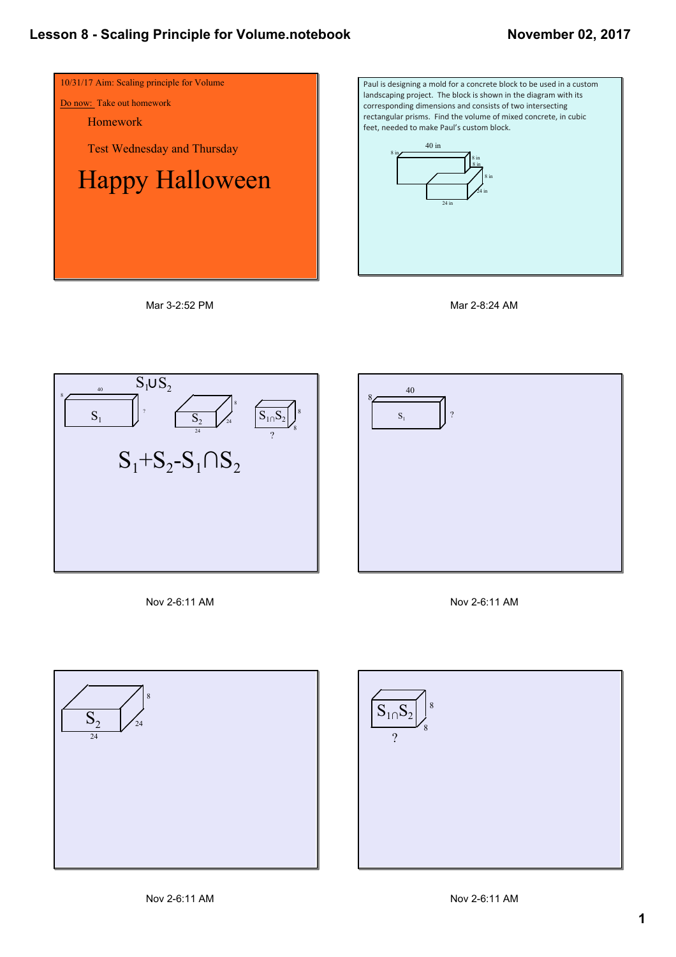









Nov 2-6:11 AM





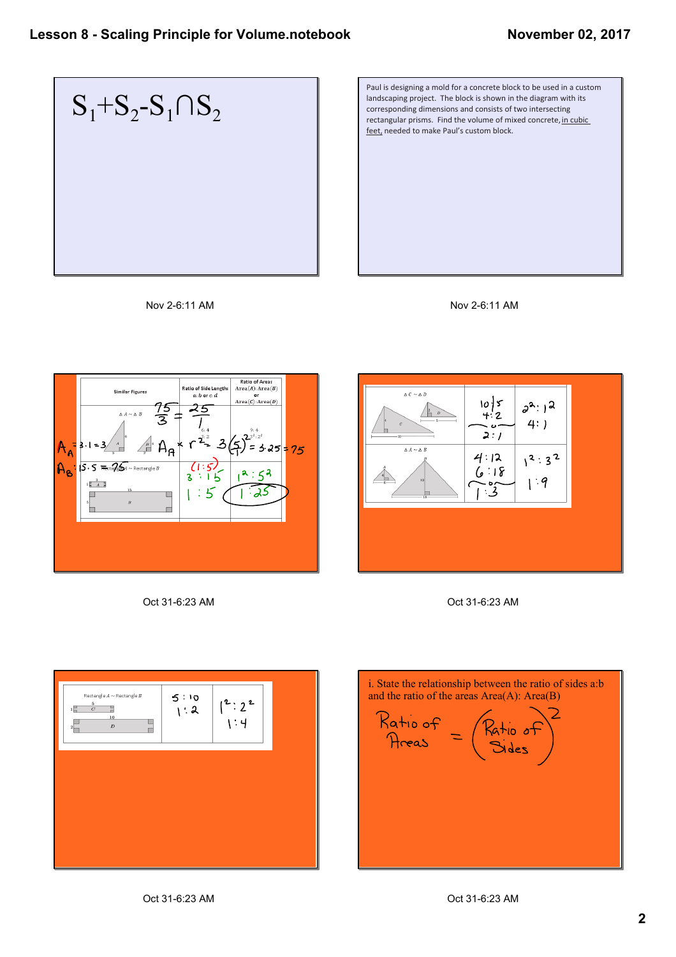

Paul is designing a mold for a concrete block to be used in a custom landscaping project. The block is shown in the diagram with its corresponding dimensions and consists of two intersecting rectangular prisms. Find the volume of mixed concrete, in cubic feet, needed to make Paul's custom block.













i. State the relationship between the ratio of sides a:b and the ratio of the areas  $Area(A)$ :  $Area(B)$  $Ratio of = (Ratio of)   
Area = ( Bides)$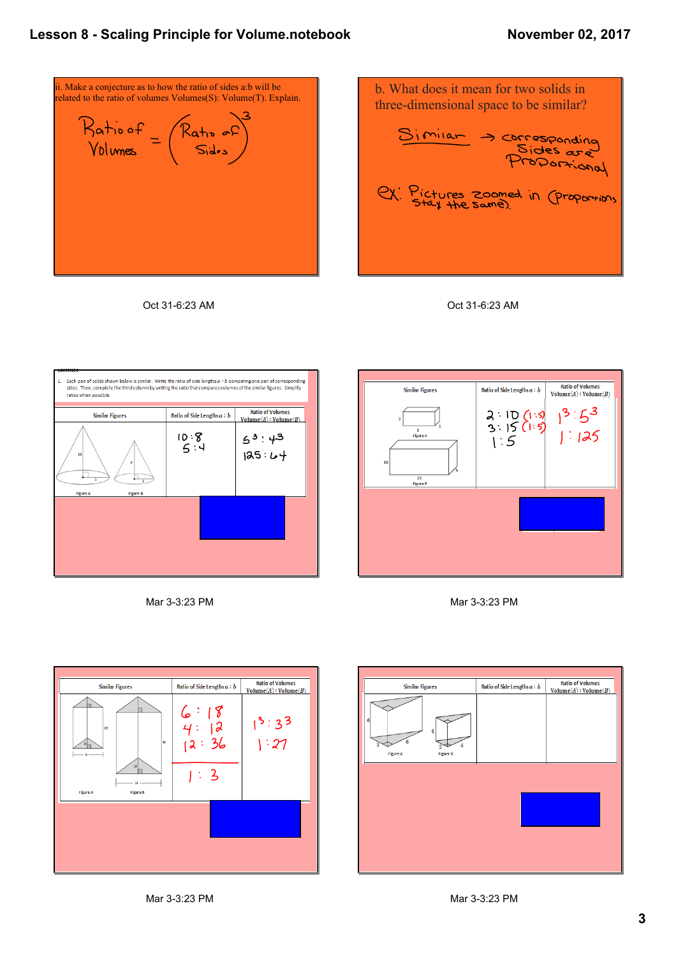## **Lesson 8 Scaling Principle for Volume.notebook**



Oct 31-6:23 AM













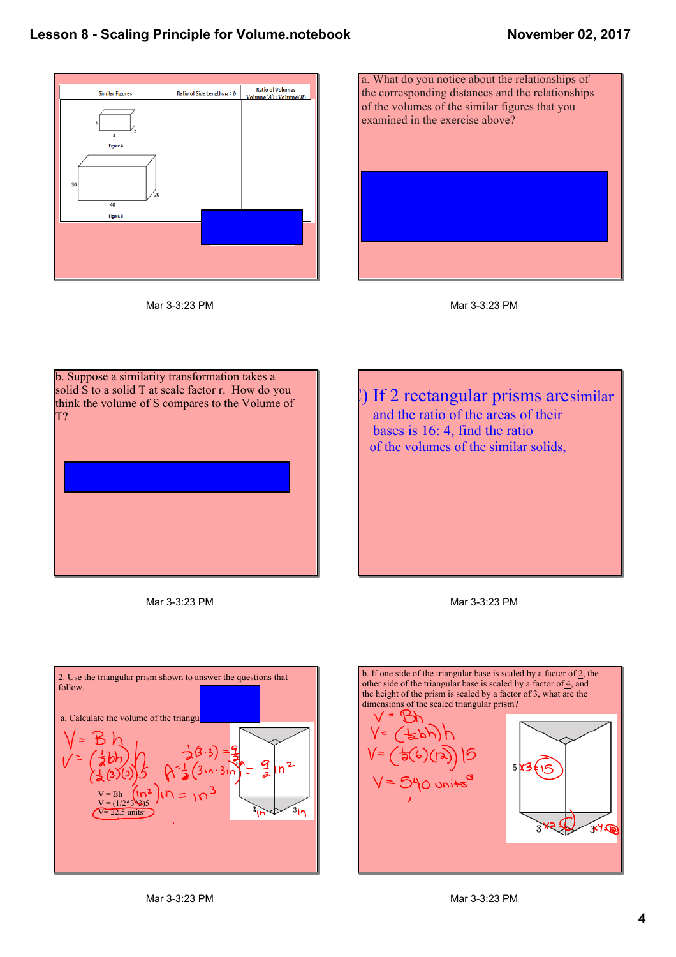







b. Suppose a similarity transformation takes a solid S to a solid T at scale factor r. How do you think the volume of S compares to the Volume of T?

) If 2 rectangular prisms aresimilar and the ratio of the areas of their bases is 16: 4, find the ratio of the volumes of the similar solids,

Mar 3-3:23 PM



b. If one side of the triangular base is scaled by a factor of 2, the other side of the triangular base is scaled by a factor of  $\frac{4}{5}$ , and the height of the prism is scaled by a factor of  $\frac{3}{2}$ , what are the dimensions of the scaled triangular prism? بم  $5N36$ 15 **15 3**  $\ast$ 

Mar 3-3:23 PM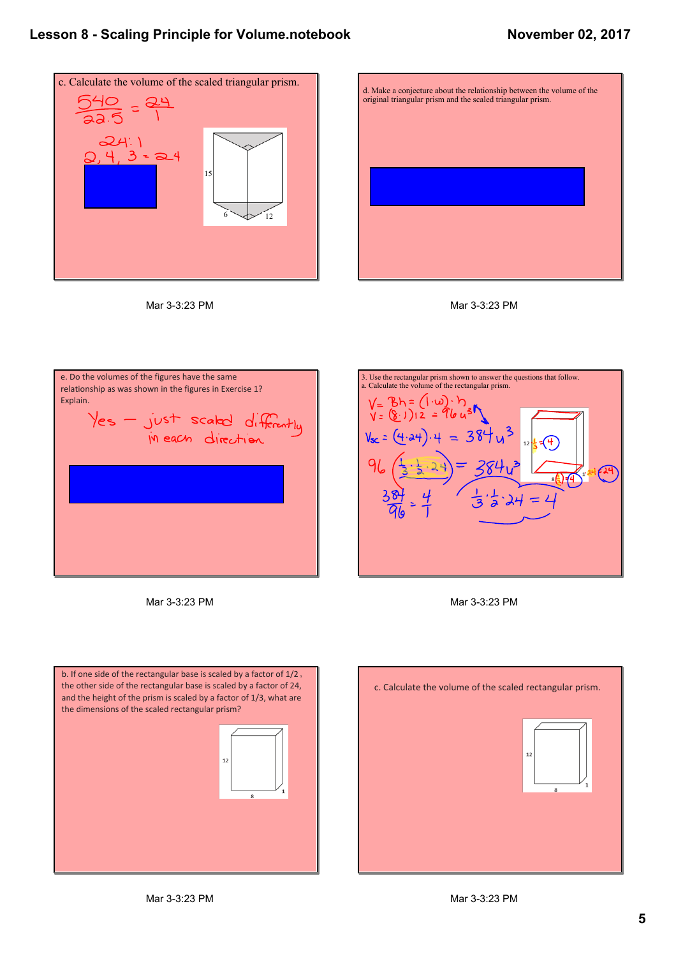### **Lesson 8 Scaling Principle for Volume.notebook**

#### **November 02, 2017**



Mar 3-3:23 PM







Mar 3-3:23 PM







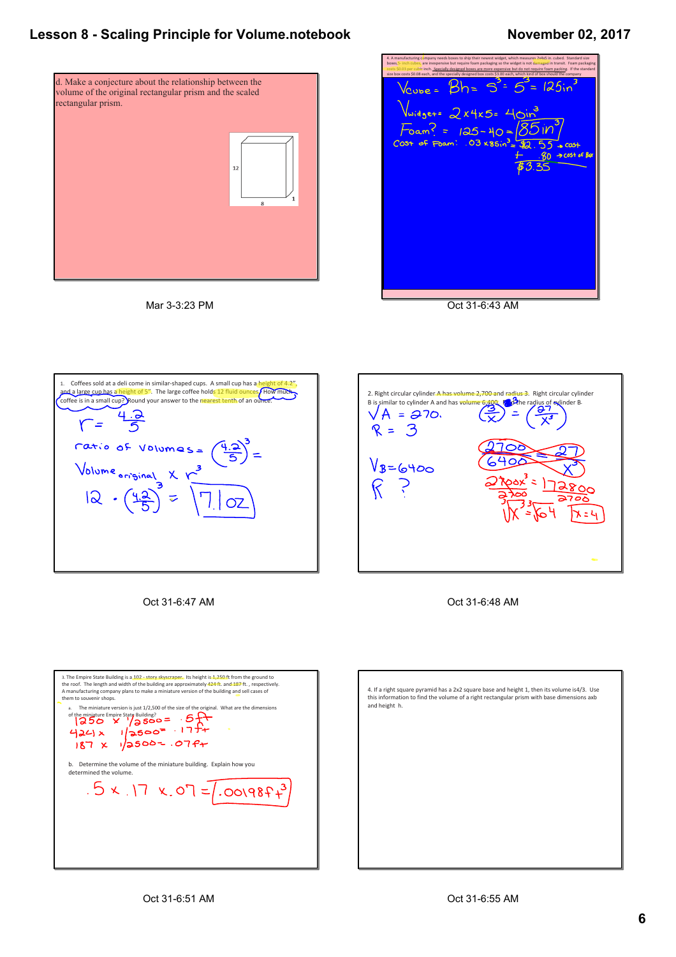# **Lesson 8 Scaling Principle for Volume.notebook**

#### **November 02, 2017**





| 4. A manufacturing company needs boxes to ship their newest widget, which measures 2x4x5 in. cubed. Standard size<br>boxes,5- inch cubes, are inexpensive but require foam packaging so the widget is not damaged in transit. Foam packaging<br>costs \$0.03 per cubic inch. Specially designed boxes are more expensive but do not require foam packing. If the standard<br>size box costs \$0.08 each, and the specially designed box costs \$3.00 each, which kind of box should the company |
|-------------------------------------------------------------------------------------------------------------------------------------------------------------------------------------------------------------------------------------------------------------------------------------------------------------------------------------------------------------------------------------------------------------------------------------------------------------------------------------------------|
| $\sqrt{2}$ $\sqrt{3}$ $\sqrt{2}$ $\sqrt{3}$ $\sqrt{3}$ $\sqrt{3}$ $\sqrt{3}$ $\sqrt{3}$ $\sqrt{3}$ $\sqrt{3}$ $\sqrt{3}$ $\sqrt{3}$ $\sqrt{3}$ $\sqrt{3}$ $\sqrt{3}$ $\sqrt{3}$ $\sqrt{3}$ $\sqrt{3}$ $\sqrt{3}$ $\sqrt{3}$ $\sqrt{3}$ $\sqrt{3}$ $\sqrt{3}$ $\sqrt{3}$ $\sqrt{3}$ $\sqrt{3}$ $\sqrt{3}$ $\sqrt{3$                                                                                                                                                                              |
| $\sqrt{\omega_0}$ dget= $2x4x5=40m^3$                                                                                                                                                                                                                                                                                                                                                                                                                                                           |
| $F$ oam? = 125-40 = $\sqrt{85}$ 110 <sup>3</sup><br>$cos + cos + 103 \times 86$ in = \$2.55 x cast                                                                                                                                                                                                                                                                                                                                                                                              |
| $-80 \rightarrow \text{cost of Box}$                                                                                                                                                                                                                                                                                                                                                                                                                                                            |
| 13.35                                                                                                                                                                                                                                                                                                                                                                                                                                                                                           |
|                                                                                                                                                                                                                                                                                                                                                                                                                                                                                                 |
|                                                                                                                                                                                                                                                                                                                                                                                                                                                                                                 |
|                                                                                                                                                                                                                                                                                                                                                                                                                                                                                                 |
|                                                                                                                                                                                                                                                                                                                                                                                                                                                                                                 |
|                                                                                                                                                                                                                                                                                                                                                                                                                                                                                                 |

Oct 31-6:43 AM



Oct 31-6:47 AM



Oct 31-6:48 AM



4. If a right square pyramid has a 2x2 square base and height 1, then its volume is4/3. Use this information to find the volume of a right rectangular prism with base dimensions axb and height h.